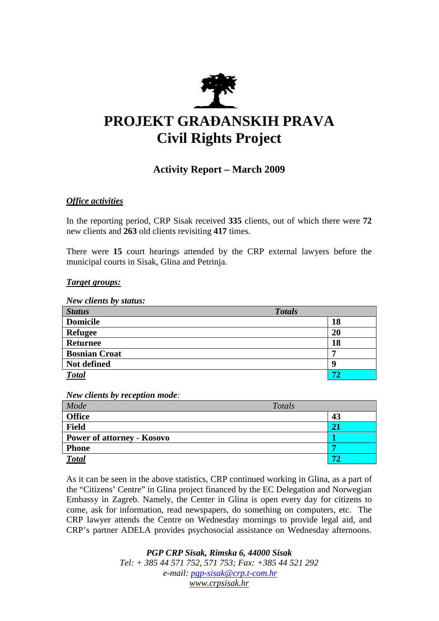

# **PROJEKT GRAĐANSKIH PRAVA Civil Rights Project**

# **Activity Report – March 2009**

# *Office activities*

In the reporting period, CRP Sisak received **335** clients, out of which there were **72**  new clients and **263** old clients revisiting **417** times.

There were **15** court hearings attended by the CRP external lawyers before the municipal courts in Sisak, Glina and Petrinja.

#### *Target groups:*

| New clients by status: |               |
|------------------------|---------------|
| <b>Status</b>          | <b>Totals</b> |
| <b>Domicile</b>        | 18            |
| Refugee                | <b>20</b>     |
| <b>Returnee</b>        | 18            |
| <b>Bosnian Croat</b>   | 7             |
| Not defined            | q             |
| <b>Total</b>           | 72            |

*New clients by reception mode:* 

| Mode                              | Totals |    |
|-----------------------------------|--------|----|
| <b>Office</b>                     |        | 43 |
| <b>Field</b>                      |        |    |
| <b>Power of attorney - Kosovo</b> |        |    |
| <b>Phone</b>                      |        |    |
| <b>Total</b>                      |        |    |

As it can be seen in the above statistics, CRP continued working in Glina, as a part of the "Citizens' Centre" in Glina project financed by the EC Delegation and Norwegian Embassy in Zagreb. Namely, the Center in Glina is open every day for citizens to come, ask for information, read newspapers, do something on computers, etc. The CRP lawyer attends the Centre on Wednesday mornings to provide legal aid, and CRP's partner ADELA provides psychosocial assistance on Wednesday afternoons.

> *PGP CRP Sisak, Rimska 6, 44000 Sisak Tel: + 385 44 571 752, 571 753; Fax: +385 44 521 292 e-mail: pgp-sisak@crp.t-com.hr www.crpsisak.hr*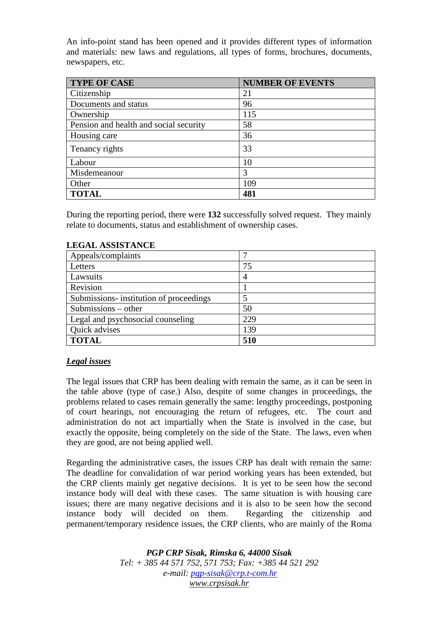An info-point stand has been opened and it provides different types of information and materials: new laws and regulations, all types of forms, brochures, documents, newspapers, etc.

| <b>TYPE OF CASE</b>                    | <b>NUMBER OF EVENTS</b> |
|----------------------------------------|-------------------------|
| Citizenship                            | 21                      |
| Documents and status                   | 96                      |
| Ownership                              | 115                     |
| Pension and health and social security | 58                      |
| Housing care                           | 36                      |
| Tenancy rights                         | 33                      |
| Labour                                 | 10                      |
| Misdemeanour                           | 3                       |
| Other                                  | 109                     |
| <b>TOTAL</b>                           | 481                     |

During the reporting period, there were **132** successfully solved request. They mainly relate to documents, status and establishment of ownership cases.

| Appeals/complaints                      |     |
|-----------------------------------------|-----|
| Letters                                 | 75  |
| Lawsuits                                |     |
| Revision                                |     |
| Submissions- institution of proceedings |     |
| Submissions $-$ other                   | 50  |
| Legal and psychosocial counseling       | 229 |
| Quick advises                           | 139 |
| <b>TOTAL</b>                            | 510 |

# **LEGAL ASSISTANCE**

# *Legal issues*

The legal issues that CRP has been dealing with remain the same, as it can be seen in the table above (type of case.) Also, despite of some changes in proceedings, the problems related to cases remain generally the same: lengthy proceedings, postponing of court hearings, not encouraging the return of refugees, etc. The court and administration do not act impartially when the State is involved in the case, but exactly the opposite, being completely on the side of the State. The laws, even when they are good, are not being applied well.

Regarding the administrative cases, the issues CRP has dealt with remain the same: The deadline for convalidation of war period working years has been extended, but the CRP clients mainly get negative decisions. It is yet to be seen how the second instance body will deal with these cases. The same situation is with housing care issues; there are many negative decisions and it is also to be seen how the second instance body will decided on them. Regarding the citizenship and permanent/temporary residence issues, the CRP clients, who are mainly of the Roma

> *PGP CRP Sisak, Rimska 6, 44000 Sisak Tel: + 385 44 571 752, 571 753; Fax: +385 44 521 292 e-mail: pgp-sisak@crp.t-com.hr www.crpsisak.hr*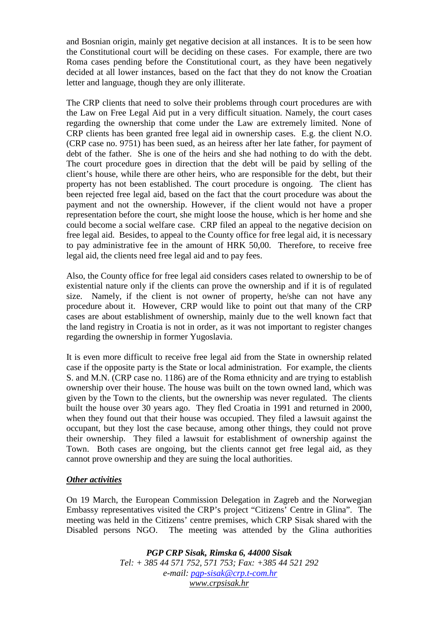and Bosnian origin, mainly get negative decision at all instances. It is to be seen how the Constitutional court will be deciding on these cases. For example, there are two Roma cases pending before the Constitutional court, as they have been negatively decided at all lower instances, based on the fact that they do not know the Croatian letter and language, though they are only illiterate.

The CRP clients that need to solve their problems through court procedures are with the Law on Free Legal Aid put in a very difficult situation. Namely, the court cases regarding the ownership that come under the Law are extremely limited. None of CRP clients has been granted free legal aid in ownership cases. E.g. the client N.O. (CRP case no. 9751) has been sued, as an heiress after her late father, for payment of debt of the father. She is one of the heirs and she had nothing to do with the debt. The court procedure goes in direction that the debt will be paid by selling of the client's house, while there are other heirs, who are responsible for the debt, but their property has not been established. The court procedure is ongoing. The client has been rejected free legal aid, based on the fact that the court procedure was about the payment and not the ownership. However, if the client would not have a proper representation before the court, she might loose the house, which is her home and she could become a social welfare case. CRP filed an appeal to the negative decision on free legal aid. Besides, to appeal to the County office for free legal aid, it is necessary to pay administrative fee in the amount of HRK 50,00. Therefore, to receive free legal aid, the clients need free legal aid and to pay fees.

Also, the County office for free legal aid considers cases related to ownership to be of existential nature only if the clients can prove the ownership and if it is of regulated size. Namely, if the client is not owner of property, he/she can not have any procedure about it. However, CRP would like to point out that many of the CRP cases are about establishment of ownership, mainly due to the well known fact that the land registry in Croatia is not in order, as it was not important to register changes regarding the ownership in former Yugoslavia.

It is even more difficult to receive free legal aid from the State in ownership related case if the opposite party is the State or local administration. For example, the clients S. and M.N. (CRP case no. 1186) are of the Roma ethnicity and are trying to establish ownership over their house. The house was built on the town owned land, which was given by the Town to the clients, but the ownership was never regulated. The clients built the house over 30 years ago. They fled Croatia in 1991 and returned in 2000, when they found out that their house was occupied. They filed a lawsuit against the occupant, but they lost the case because, among other things, they could not prove their ownership. They filed a lawsuit for establishment of ownership against the Town. Both cases are ongoing, but the clients cannot get free legal aid, as they cannot prove ownership and they are suing the local authorities.

#### *Other activities*

On 19 March, the European Commission Delegation in Zagreb and the Norwegian Embassy representatives visited the CRP's project "Citizens' Centre in Glina". The meeting was held in the Citizens' centre premises, which CRP Sisak shared with the Disabled persons NGO. The meeting was attended by the Glina authorities

> *PGP CRP Sisak, Rimska 6, 44000 Sisak Tel: + 385 44 571 752, 571 753; Fax: +385 44 521 292 e-mail: pgp-sisak@crp.t-com.hr www.crpsisak.hr*